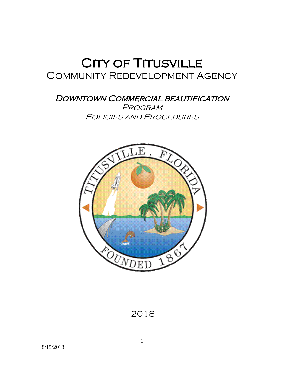# **CITY OF TITUSVILLE**<br>COMMUNITY REDEVELOPMENT AGENCY

DOWNTOWN COMMERCIAL BEAUTIFICATION Program POLICIES AND PROCEDURES

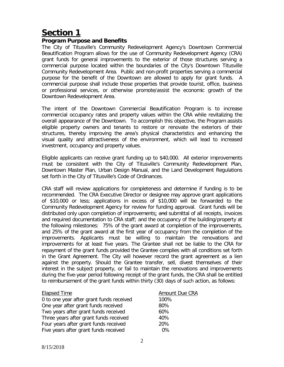#### **Program Purpose and Benefits**

The City of Titusville's Community Redevelopment Agency's Downtown Commercial Beautification Program allows for the use of Community Redevelopment Agency (CRA) grant funds for general improvements to the exterior of those structures serving a commercial purpose located within the boundaries of the City's Downtown Titusville Community Redevelopment Area. Public and non-profit properties serving a commercial purpose for the benefit of the Downtown are allowed to apply for grant funds. A commercial purpose shall include those properties that provide tourist, office, business or professional services, or otherwise promote/assist the economic growth of the Downtown Redevelopment Area.

The intent of the *S*Downtown Commercial Beautification Program is to increase commercial occupancy rates and property values within the CRA while revitalizing the overall appearance of the Downtown. To accomplish this objective, the Program assists eligible property owners and tenants to restore or renovate the exteriors of their structures, thereby improving the area's physical characteristics and enhancing the visual quality and attractiveness of the environment, which will lead to increased investment, occupancy and property values.

Eligible applicants can receive grant funding up to \$40,000. All exterior *improvements* must be consistent with the City of Titusville's Community Redevelopment Plan, Downtown Master Plan, Urban Design Manual, and the Land Development Regulations set forth in the City of Titusville's Code of Ordinances.

CRA staff will review applications for completeness and determine if funding is to be recommended. The CRA Executive Director or designee may approve grant applications of \$10,000 or less; applications in excess of \$10,000 will be forwarded to the Community Redevelopment Agency for review for funding approval. Grant funds will be distributed only upon completion of improvements; and submittal of all receipts, invoices and required documentation to CRA staff; and the occupancy of the building/property at the following milestones: 75% of the grant award at completion of the improvements, and 25% of the grant award at the first year of occupancy from the completion of the improvements. Applicants must be willing to maintain the renovations and improvements for at least five years. The Grantee shall not be liable to the CRA for repayment of the grant funds provided the Grantee complies with all conditions set forth in the Grant Agreement. The City will however record the grant agreement as a lien against the property. Should the Grantee transfer, sell, divest themselves of their interest in the subject property, or fail to maintain the renovations and improvements during the five-year period following receipt of the grant funds, the CRA shall be entitled to reimbursement of the grant funds within thirty (30) days of such action, as follows:

| <b>Elapsed Time</b>                      | Amount Due CRA |
|------------------------------------------|----------------|
| 0 to one year after grant funds received | 100%           |
| One year after grant funds received      | 80%            |
| Two years after grant funds received     | 60%            |
| Three years after grant funds received   | 40%            |
| Four years after grant funds received    | 20%            |
| Five years after grant funds received    | 0%             |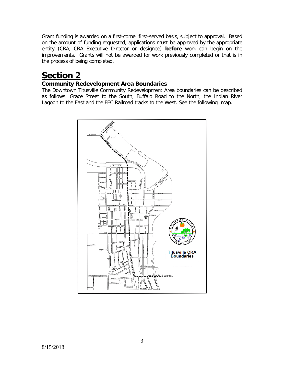Grant funding is awarded on a first-come, first-served basis, subject to approval. Based on the amount of funding requested, applications must be approved by the appropriate entity (CRA, CRA Executive Director or designee) **before** work can begin on the improvements. Grants will not be awarded for work previously completed or that is in the process of being completed.

## **Section 2**

### **Community Redevelopment Area Boundaries**

The Downtown Titusville Community Redevelopment Area boundaries can be described as follows: Grace Street to the South, Buffalo Road to the North, the Indian River Lagoon to the East and the FEC Railroad tracks to the West. See the following map.

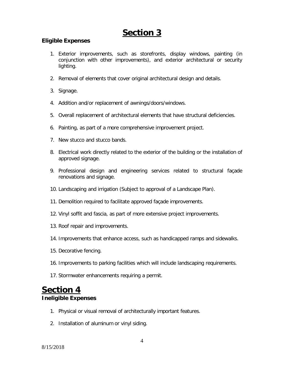#### **Eligible Expenses**

- 1. *<sup>S</sup>*Exterior improvements, such as storefronts, display windows, painting (in conjunction with other improvements), and exterior architectural or security lighting.
- 2. Removal of elements that cover original architectural design and details.
- 3. Signage.
- 4. Addition and/or replacement of awnings/doors/windows.
- 5. Overall replacement of architectural elements that have structural deficiencies.
- 6. Painting, as part of a more comprehensive improvement project.
- 7. New stucco and stucco bands.
- 8. Electrical work directly related to the exterior of the building or the installation of approved signage.
- 9. Professional design and engineering services related to structural façade renovations and signage.
- 10. Landscaping and irrigation (Subject to approval of a Landscape Plan).
- 11. Demolition required to facilitate approved façade improvements.
- 12. Vinyl soffit and fascia, as part of more extensive project improvements.
- 13. Roof repair and improvements.
- 14. Improvements that enhance access, such as handicapped ramps and sidewalks.
- 15. Decorative fencing.
- 16. Improvements to parking facilities which will include landscaping requirements.
- 17. Stormwater enhancements requiring a permit.

## **Section 4 Ineligible Expenses**

- 1. Physical or visual removal of architecturally important features.
- 2. Installation of aluminum or vinyl siding.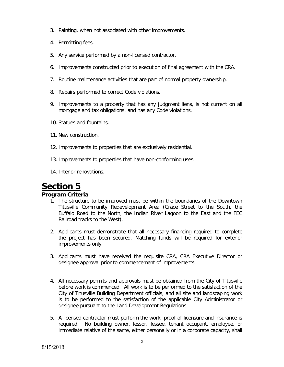- 3. Painting, when not associated with other improvements.
- 4. Permitting fees.
- 5. Any service performed by a non-licensed contractor.
- 6. Improvements constructed prior to execution of final agreement with the CRA.
- 7. Routine maintenance activities that are part of normal property ownership.
- 8. Repairs performed to correct Code violations.
- 9. Improvements to a property that has any judgment liens, is not current on all mortgage and tax obligations, and has any Code violations.
- 10. Statues and fountains.
- 11. New construction.
- 12. Improvements to properties that are exclusively residential.
- 13. Improvements to properties that have non-conforming uses.
- 14. Interior renovations.

#### **Program Criteria**

- 1. The structure to be improved must be within the boundaries of the Downtown Titusville Community Redevelopment Area (Grace Street to the South, the Buffalo Road to the North, the Indian River Lagoon to the East and the FEC Railroad tracks to the West).
- 2. Applicants must demonstrate that all necessary financing required to complete the project has been secured. Matching funds will be required for exterior improvements only.
- 3. Applicants must have received the requisite CRA, CRA Executive Director or designee approval prior to commencement of improvements.
- 4. All necessary permits and approvals must be obtained from the City of Titusville before work is commenced. All work is to be performed to the satisfaction of the City of Titusville Building Department officials, and all site and landscaping work is to be performed to the satisfaction of the applicable City Administrator or designee pursuant to the Land Development Regulations.
- 5. A licensed contractor must perform the work; proof of licensure and insurance is required. No building owner, lessor, lessee, tenant occupant, employee, or immediate relative of the same, either personally or in a corporate capacity, shall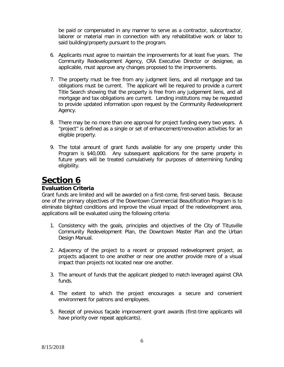be paid or compensated in any manner to serve as a contractor, subcontractor, laborer or material man in connection with any rehabilitative work or labor to said building/property pursuant to the program.

- 6. Applicants must agree to maintain the improvements for at least five years. The Community Redevelopment Agency, CRA Executive Director or designee, as applicable, must approve any changes proposed to the improvements.
- 7. The property must be free from any judgment liens, and all mortgage and tax obligations must be current. The applicant will be required to provide a current Title Search showing that the property is free from any judgement liens, and all mortgage and tax obligations are current. Lending institutions may be requested to provide updated information upon request by the Community Redevelopment Agency.
- 8. There may be no more than one approval for project funding every two years. A "project" is defined as a single or set of enhancement/renovation activities for an eligible property.
- 9. The total amount of grant funds available for any one property under this Program is \$40,000. Any subsequent applications for the same property in future years will be treated cumulatively for purposes of determining funding eligibility.

## **Section 6**

#### **Evaluation Criteria**

Grant funds are limited and will be awarded on a first-come, first-served basis. Because one of the primary objectives of the Downtown Commercial Beautification Program is to eliminate blighted conditions and improve the visual impact of the redevelopment area, applications will be evaluated using the following criteria:

- 1. Consistency with the goals, principles and objectives of the City of Titusville Community Redevelopment Plan, the Downtown Master Plan and the Urban Design Manual.
- 2. Adjacency of the project to a recent or proposed redevelopment project, as projects adjacent to one another or near one another provide more of a visual impact than projects not located near one another.
- 3. The amount of funds that the applicant pledged to match leveraged against CRA funds.
- 4. The extent to which the project encourages a secure and convenient environment for patrons and employees.
- 5. Receipt of previous façade improvement grant awards (first-time applicants will have priority over repeat applicants).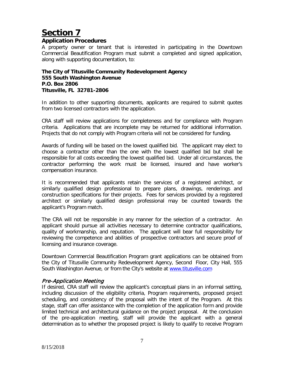#### **Application Procedures**

A property owner or tenant that is interested in participating in the Downtown Commercial Beautification Program must submit a completed and signed application, along with supporting documentation, to:

#### **The City of Titusville Community Redevelopment Agency 555 South Washington Avenue P.O. Box 2806 Titusville, FL 32781-2806**

In addition to other supporting documents, applicants are required to submit quotes from two licensed contractors with the application.

CRA staff will review applications for completeness and for compliance with Program criteria. Applications that are incomplete may be returned for additional information. Projects that do not comply with Program criteria will not be considered for funding.

Awards of funding will be based on the lowest qualified bid. The applicant may elect to choose a contractor other than the one with the lowest qualified bid but shall be responsible for all costs exceeding the lowest qualified bid. Under all circumstances, the contractor performing the work must be licensed, insured and have worker's compensation insurance.

It is recommended that applicants retain the services of a registered architect, or similarly qualified design professional to prepare plans, drawings, renderings and construction specifications for their projects. Fees for services provided by a registered architect or similarly qualified design professional may be counted towards the applicant's Program match.

The CRA will not be responsible in any manner for the selection of a contractor. An applicant should pursue all activities necessary to determine contractor qualifications, quality of workmanship, and reputation. The applicant will bear full responsibility for reviewing the competence and abilities of prospective contractors and secure proof of licensing and insurance coverage.

Downtown Commercial Beautification Program grant applications can be obtained from the City of Titusville Community Redevelopment Agency, Second Floor, City Hall, 555 South Washington Avenue, or from the City's website at [www.titusville.com](http://www.titusville.com/)

#### Pre-Application Meeting

If desired, CRA staff will review the applicant's conceptual plans in an informal setting, including discussion of the eligibility criteria, Program requirements, proposed project scheduling, and consistency of the proposal with the intent of the Program. At this stage, staff can offer assistance with the completion of the application form and provide limited technical and architectural guidance on the project proposal. At the conclusion of the pre-application meeting, staff will provide the applicant with a general determination as to whether the proposed project is likely to qualify to receive Program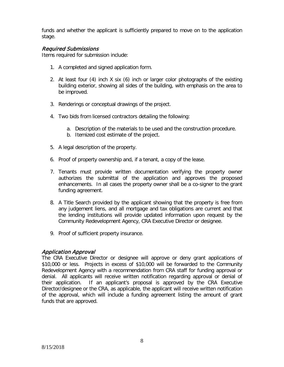funds and whether the applicant is sufficiently prepared to move on to the application stage.

#### Required Submissions

Items required for submission include:

- 1. A completed and signed application form.
- 2. At least four (4) inch X six (6) inch or larger color photographs of the existing building exterior, showing all sides of the building, with emphasis on the area to be improved.
- 3. Renderings or conceptual drawings of the project.
- 4. Two bids from licensed contractors detailing the following:
	- a. Description of the materials to be used and the construction procedure.
	- b. Itemized cost estimate of the project.
- 5. A legal description of the property.
- 6. Proof of property ownership and, if a tenant, a copy of the lease.
- 7. Tenants must provide written documentation verifying the property owner authorizes the submittal of the application and approves the proposed enhancements. In all cases the property owner shall be a co-signer to the grant funding agreement.
- 8. A Title Search provided by the applicant showing that the property is free from any judgement liens, and all mortgage and tax obligations are current and that the lending institutions will provide updated information upon request by the Community Redevelopment Agency, CRA Executive Director or designee.
- 9. Proof of sufficient property insurance.

#### Application Approval

The CRA Executive Director or designee will approve or deny grant applications of \$10,000 or less. Projects in excess of \$10,000 will be forwarded to the Community Redevelopment Agency with a recommendation from CRA staff for funding approval or denial. All applicants will receive written notification regarding approval or denial of their application. If an applicant's proposal is approved by the CRA Executive Director/designee or the CRA, as applicable, the applicant will receive written notification of the approval, which will include a funding agreement listing the amount of grant funds that are approved.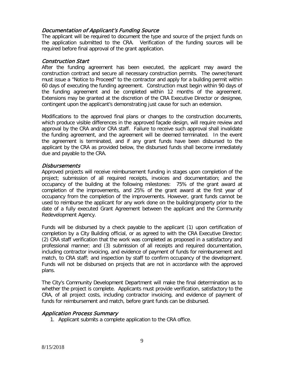#### Documentation of Applicant's Funding Source

The applicant will be required to document the type and source of the project funds on the application submitted to the CRA. Verification of the funding sources will be required before final approval of the grant application.

#### Construction Start

After the funding agreement has been executed, the applicant may award the construction contract and secure all necessary construction permits. The owner/tenant must issue a "Notice to Proceed" to the contractor and apply for a building permit within 60 days of executing the funding agreement. Construction must begin within 90 days of the funding agreement and be completed within 12 months of the agreement. Extensions may be granted at the discretion of the CRA Executive Director or designee, contingent upon the applicant's demonstrating just cause for such an extension.

Modifications to the approved final plans or changes to the construction documents, which produce visible differences in the approved façade design, will require review and approval by the CRA and/or CRA staff. Failure to receive such approval shall invalidate the funding agreement, and the agreement will be deemed terminated. In the event the agreement is terminated, and if any grant funds have been disbursed to the applicant by the CRA as provided below, the disbursed funds shall become immediately due and payable to the CRA.

#### **Disbursements**

Approved projects will receive reimbursement funding in stages upon completion of the project; submission of all required receipts, invoices and documentation; and the occupancy of the building at the following milestones: 75% of the grant award at completion of the improvements, and 25% of the grant award at the first year of occupancy from the completion of the improvements. However, grant funds cannot be used to reimburse the applicant for any work done on the building/property prior to the date of a fully executed Grant Agreement between the applicant and the Community Redevelopment Agency.

Funds will be disbursed by a check payable to the applicant (1) upon certification of completion by a City Building official, or as agreed to with the CRA Executive Director; (2) CRA staff verification that the work was completed as proposed in a satisfactory and professional manner; and (3) submission of all receipts and required documentation, including contractor invoicing, and evidence of payment of funds for reimbursement and match, to CRA staff; and inspection by staff to confirm occupancy of the development. Funds will not be disbursed on projects that are not in accordance with the approved plans.

The City's Community Development Department will make the final determination as to whether the project is complete. Applicants must provide verification, satisfactory to the CRA, of all project costs, including contractor invoicing, and evidence of payment of funds for reimbursement and match, before grant funds can be disbursed.

#### Application Process Summary

1. Applicant submits a complete application to the CRA office.